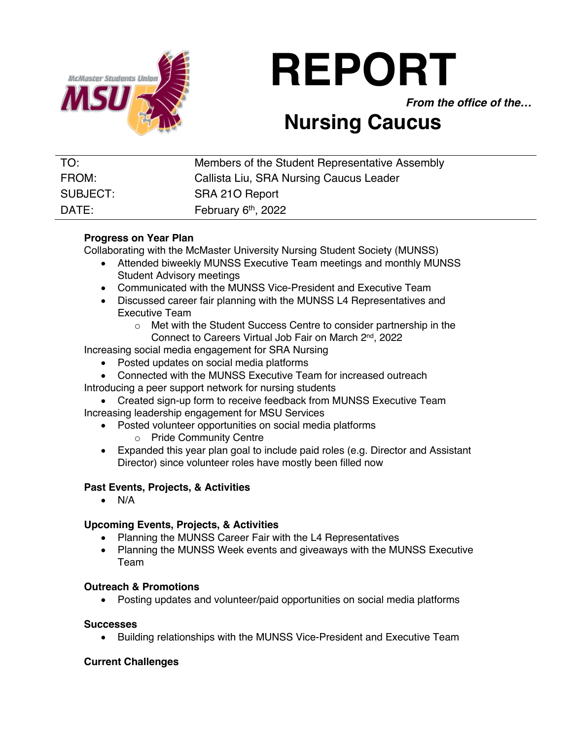

# **REPORT**

*From the office of the…*

# **Nursing Caucus**

| TO:      | Members of the Student Representative Assembly |
|----------|------------------------------------------------|
| FROM:    | Callista Liu, SRA Nursing Caucus Leader        |
| SUBJECT: | SRA 210 Report                                 |
| DATE:    | February 6 <sup>th</sup> , 2022                |

### **Progress on Year Plan**

Collaborating with the McMaster University Nursing Student Society (MUNSS)

- Attended biweekly MUNSS Executive Team meetings and monthly MUNSS Student Advisory meetings
- Communicated with the MUNSS Vice-President and Executive Team
- Discussed career fair planning with the MUNSS L4 Representatives and Executive Team
	- o Met with the Student Success Centre to consider partnership in the Connect to Careers Virtual Job Fair on March 2nd, 2022

Increasing social media engagement for SRA Nursing

- Posted updates on social media platforms
- Connected with the MUNSS Executive Team for increased outreach

Introducing a peer support network for nursing students

• Created sign-up form to receive feedback from MUNSS Executive Team

Increasing leadership engagement for MSU Services

- Posted volunteer opportunities on social media platforms
	- o Pride Community Centre
- Expanded this year plan goal to include paid roles (e.g. Director and Assistant Director) since volunteer roles have mostly been filled now

# **Past Events, Projects, & Activities**

• N/A

#### **Upcoming Events, Projects, & Activities**

- Planning the MUNSS Career Fair with the L4 Representatives
- Planning the MUNSS Week events and giveaways with the MUNSS Executive Team

#### **Outreach & Promotions**

• Posting updates and volunteer/paid opportunities on social media platforms

#### **Successes**

• Building relationships with the MUNSS Vice-President and Executive Team

# **Current Challenges**